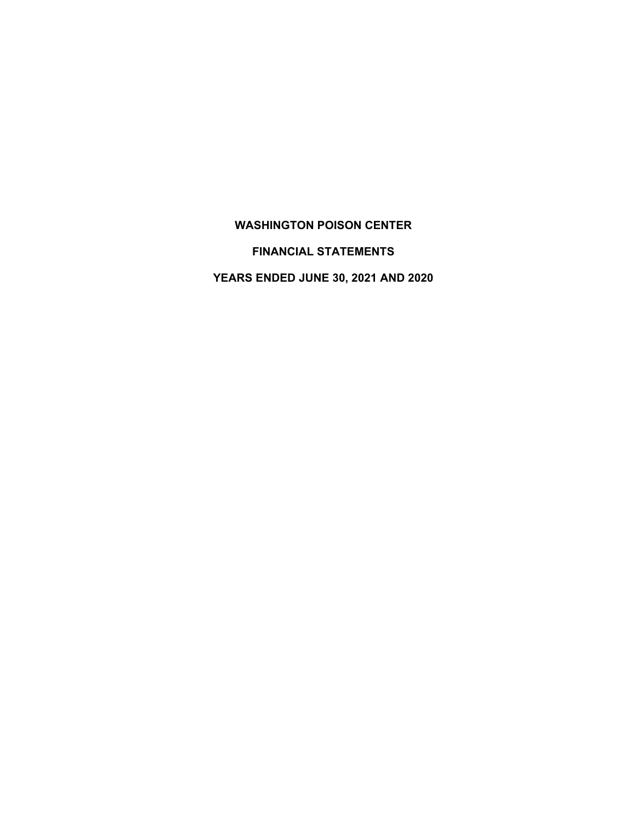# **WASHINGTON POISON CENTER**

### **FINANCIAL STATEMENTS**

**YEARS ENDED JUNE 30, 2021 AND 2020**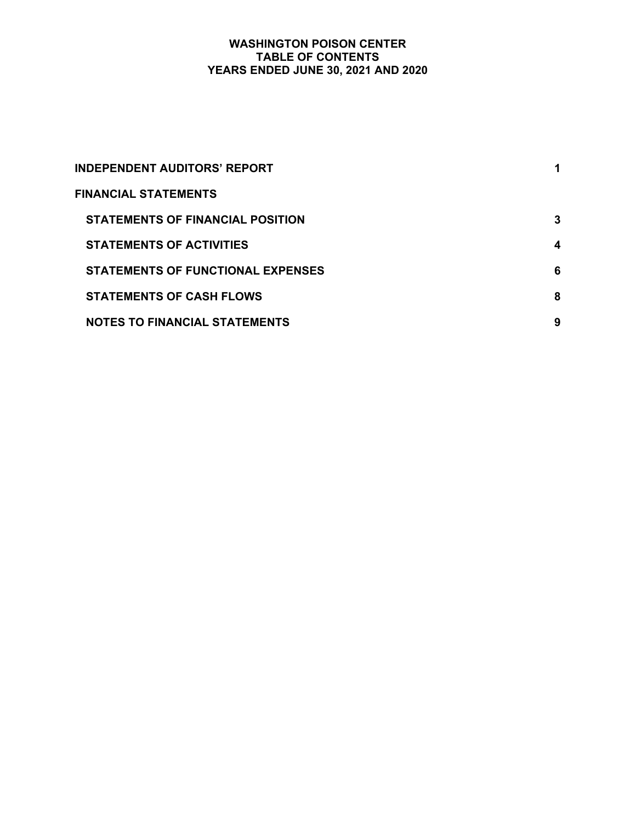# **WASHINGTON POISON CENTER TABLE OF CONTENTS YEARS ENDED JUNE 30, 2021 AND 2020**

| <b>INDEPENDENT AUDITORS' REPORT</b>      |   |
|------------------------------------------|---|
| <b>FINANCIAL STATEMENTS</b>              |   |
| <b>STATEMENTS OF FINANCIAL POSITION</b>  | 3 |
| <b>STATEMENTS OF ACTIVITIES</b>          | 4 |
| <b>STATEMENTS OF FUNCTIONAL EXPENSES</b> | 6 |
| <b>STATEMENTS OF CASH FLOWS</b>          | 8 |
| <b>NOTES TO FINANCIAL STATEMENTS</b>     | 9 |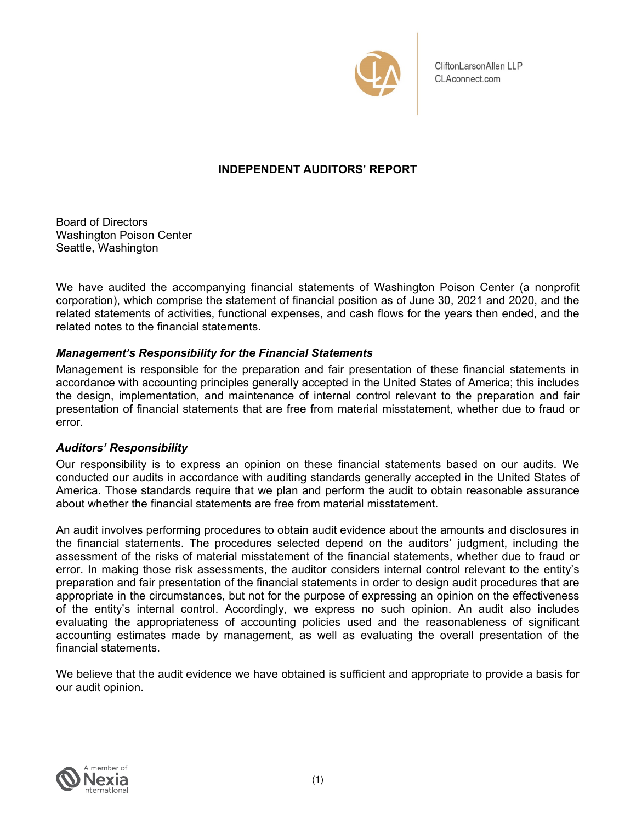

CliftonLarsonAllen LLP CLAconnect.com

# **INDEPENDENT AUDITORS' REPORT**

Board of Directors Washington Poison Center Seattle, Washington

We have audited the accompanying financial statements of Washington Poison Center (a nonprofit corporation), which comprise the statement of financial position as of June 30, 2021 and 2020, and the related statements of activities, functional expenses, and cash flows for the years then ended, and the related notes to the financial statements.

# *Management's Responsibility for the Financial Statements*

Management is responsible for the preparation and fair presentation of these financial statements in accordance with accounting principles generally accepted in the United States of America; this includes the design, implementation, and maintenance of internal control relevant to the preparation and fair presentation of financial statements that are free from material misstatement, whether due to fraud or error.

# *Auditors' Responsibility*

Our responsibility is to express an opinion on these financial statements based on our audits. We conducted our audits in accordance with auditing standards generally accepted in the United States of America. Those standards require that we plan and perform the audit to obtain reasonable assurance about whether the financial statements are free from material misstatement.

An audit involves performing procedures to obtain audit evidence about the amounts and disclosures in the financial statements. The procedures selected depend on the auditors' judgment, including the assessment of the risks of material misstatement of the financial statements, whether due to fraud or error. In making those risk assessments, the auditor considers internal control relevant to the entity's preparation and fair presentation of the financial statements in order to design audit procedures that are appropriate in the circumstances, but not for the purpose of expressing an opinion on the effectiveness of the entity's internal control. Accordingly, we express no such opinion. An audit also includes evaluating the appropriateness of accounting policies used and the reasonableness of significant accounting estimates made by management, as well as evaluating the overall presentation of the financial statements.

We believe that the audit evidence we have obtained is sufficient and appropriate to provide a basis for our audit opinion.

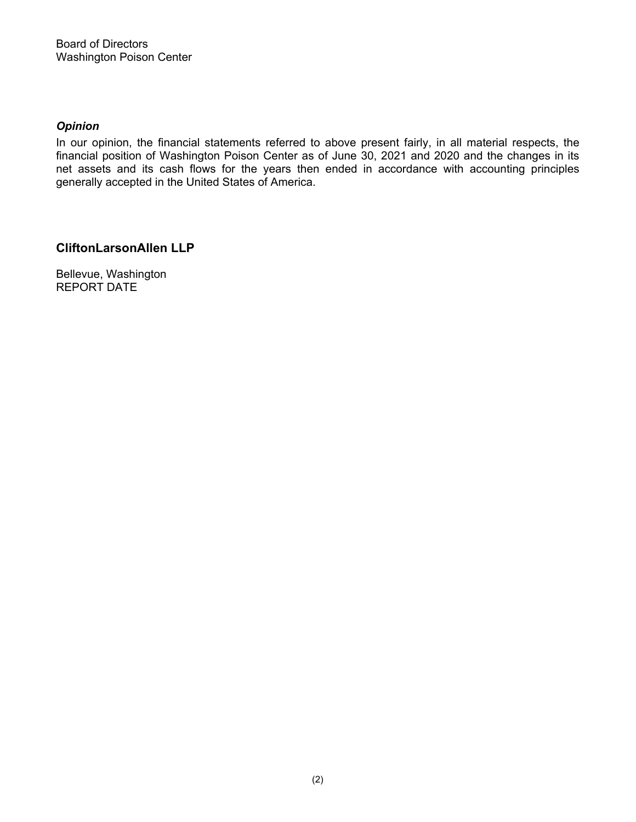# *Opinion*

In our opinion, the financial statements referred to above present fairly, in all material respects, the financial position of Washington Poison Center as of June 30, 2021 and 2020 and the changes in its net assets and its cash flows for the years then ended in accordance with accounting principles generally accepted in the United States of America.

# **CliftonLarsonAllen LLP**

Bellevue, Washington REPORT DATE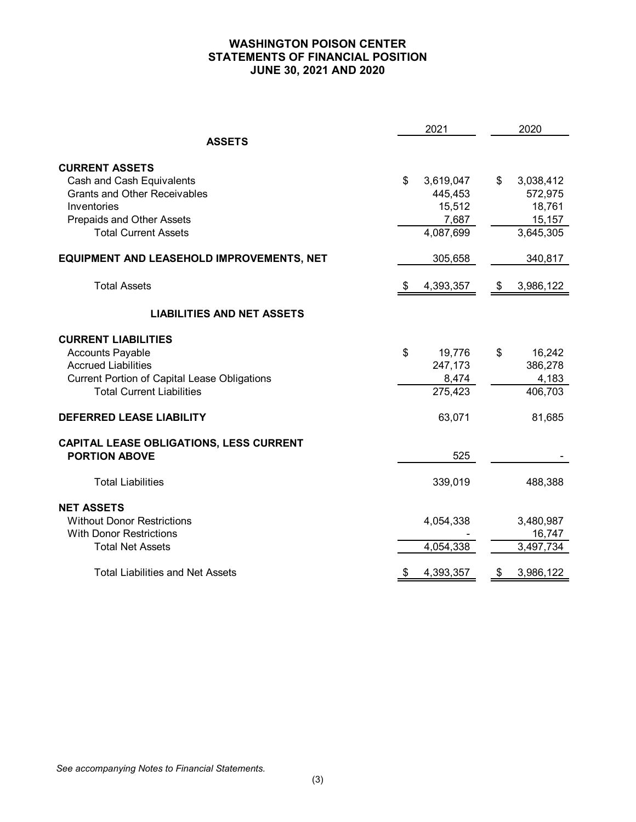# **WASHINGTON POISON CENTER STATEMENTS OF FINANCIAL POSITION JUNE 30, 2021 AND 2020**

|                                                                                                                                                                                | 2021                                                       | 2020                                                                     |
|--------------------------------------------------------------------------------------------------------------------------------------------------------------------------------|------------------------------------------------------------|--------------------------------------------------------------------------|
| <b>ASSETS</b>                                                                                                                                                                  |                                                            |                                                                          |
| <b>CURRENT ASSETS</b><br>Cash and Cash Equivalents<br><b>Grants and Other Receivables</b><br>Inventories<br>Prepaids and Other Assets<br><b>Total Current Assets</b>           | \$<br>3,619,047<br>445,453<br>15,512<br>7,687<br>4,087,699 | \$<br>3,038,412<br>572,975<br>18,761<br>15,157<br>$\overline{3,}645,305$ |
| EQUIPMENT AND LEASEHOLD IMPROVEMENTS, NET                                                                                                                                      | 305,658                                                    | 340,817                                                                  |
| <b>Total Assets</b>                                                                                                                                                            | 4,393,357                                                  | \$<br>3,986,122                                                          |
| <b>LIABILITIES AND NET ASSETS</b>                                                                                                                                              |                                                            |                                                                          |
| <b>CURRENT LIABILITIES</b><br><b>Accounts Payable</b><br><b>Accrued Liabilities</b><br><b>Current Portion of Capital Lease Obligations</b><br><b>Total Current Liabilities</b> | \$<br>19,776<br>247,173<br>8,474<br>275,423                | \$<br>16,242<br>386,278<br>4,183<br>406,703                              |
| <b>DEFERRED LEASE LIABILITY</b>                                                                                                                                                | 63,071                                                     | 81,685                                                                   |
| CAPITAL LEASE OBLIGATIONS, LESS CURRENT<br><b>PORTION ABOVE</b>                                                                                                                | 525                                                        |                                                                          |
| <b>Total Liabilities</b>                                                                                                                                                       | 339,019                                                    | 488,388                                                                  |
| <b>NET ASSETS</b><br><b>Without Donor Restrictions</b><br><b>With Donor Restrictions</b><br><b>Total Net Assets</b>                                                            | 4,054,338<br>4,054,338                                     | 3,480,987<br>16,747<br>3,497,734                                         |
| <b>Total Liabilities and Net Assets</b>                                                                                                                                        | \$<br>4,393,357                                            | \$<br>3,986,122                                                          |

*See accompanying Notes to Financial Statements.*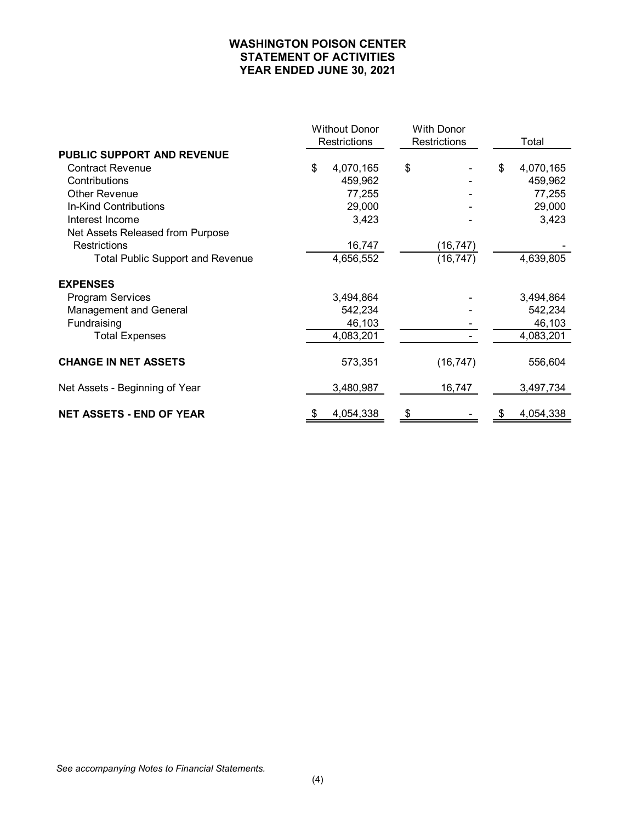# **WASHINGTON POISON CENTER STATEMENT OF ACTIVITIES YEAR ENDED JUNE 30, 2021**

|                                         |    | <b>Without Donor</b> | <b>With Donor</b>   |    |           |
|-----------------------------------------|----|----------------------|---------------------|----|-----------|
|                                         |    | Restrictions         | <b>Restrictions</b> |    | Total     |
| <b>PUBLIC SUPPORT AND REVENUE</b>       |    |                      |                     |    |           |
| <b>Contract Revenue</b>                 | \$ | 4,070,165            | \$                  | \$ | 4,070,165 |
| Contributions                           |    | 459,962              |                     |    | 459,962   |
| <b>Other Revenue</b>                    |    | 77,255               |                     |    | 77,255    |
| In-Kind Contributions                   |    | 29,000               |                     |    | 29,000    |
| Interest Income                         |    | 3,423                |                     |    | 3,423     |
| Net Assets Released from Purpose        |    |                      |                     |    |           |
| Restrictions                            |    | 16,747               | (16, 747)           |    |           |
| <b>Total Public Support and Revenue</b> |    | 4,656,552            | (16, 747)           |    | 4,639,805 |
| <b>EXPENSES</b>                         |    |                      |                     |    |           |
| <b>Program Services</b>                 |    | 3,494,864            |                     |    | 3,494,864 |
| <b>Management and General</b>           |    | 542,234              |                     |    | 542,234   |
| Fundraising                             |    | 46,103               |                     |    | 46,103    |
| <b>Total Expenses</b>                   |    | 4,083,201            |                     |    | 4,083,201 |
| <b>CHANGE IN NET ASSETS</b>             |    | 573,351              | (16, 747)           |    | 556,604   |
| Net Assets - Beginning of Year          |    | 3,480,987            | 16,747              |    | 3,497,734 |
| <b>NET ASSETS - END OF YEAR</b>         | æ. | 4,054,338            | \$                  | S  | 4,054,338 |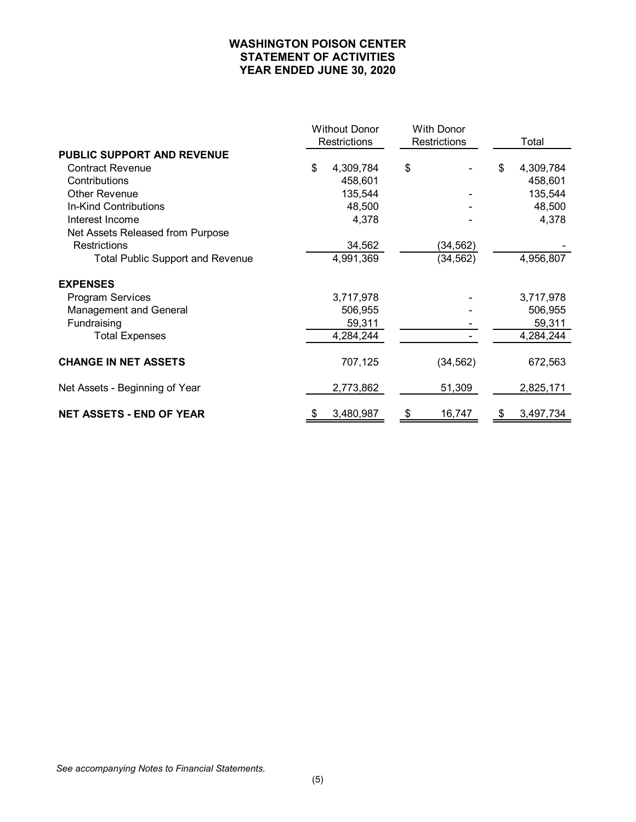# **WASHINGTON POISON CENTER STATEMENT OF ACTIVITIES YEAR ENDED JUNE 30, 2020**

|                                         |              | <b>Without Donor</b> | <b>With Donor</b> |    |           |  |
|-----------------------------------------|--------------|----------------------|-------------------|----|-----------|--|
|                                         | Restrictions |                      | Restrictions      |    | Total     |  |
| PUBLIC SUPPORT AND REVENUE              |              |                      |                   |    |           |  |
| <b>Contract Revenue</b>                 | \$           | 4,309,784            | \$                | \$ | 4,309,784 |  |
| Contributions                           |              | 458,601              |                   |    | 458,601   |  |
| <b>Other Revenue</b>                    |              | 135,544              |                   |    | 135,544   |  |
| In-Kind Contributions                   |              | 48,500               |                   |    | 48,500    |  |
| Interest Income                         |              | 4,378                |                   |    | 4,378     |  |
| Net Assets Released from Purpose        |              |                      |                   |    |           |  |
| Restrictions                            |              | 34,562               | (34, 562)         |    |           |  |
| <b>Total Public Support and Revenue</b> |              | 4,991,369            | (34, 562)         |    | 4,956,807 |  |
| <b>EXPENSES</b>                         |              |                      |                   |    |           |  |
| <b>Program Services</b>                 |              | 3,717,978            |                   |    | 3,717,978 |  |
| <b>Management and General</b>           |              | 506,955              |                   |    | 506,955   |  |
| Fundraising                             |              | 59,311               |                   |    | 59,311    |  |
| <b>Total Expenses</b>                   |              | 4,284,244            |                   |    | 4,284,244 |  |
| <b>CHANGE IN NET ASSETS</b>             |              | 707,125              | (34, 562)         |    | 672,563   |  |
| Net Assets - Beginning of Year          |              | 2,773,862            | 51,309            |    | 2,825,171 |  |
| <b>NET ASSETS - END OF YEAR</b>         | \$           | 3,480,987            | \$<br>16,747      | \$ | 3,497,734 |  |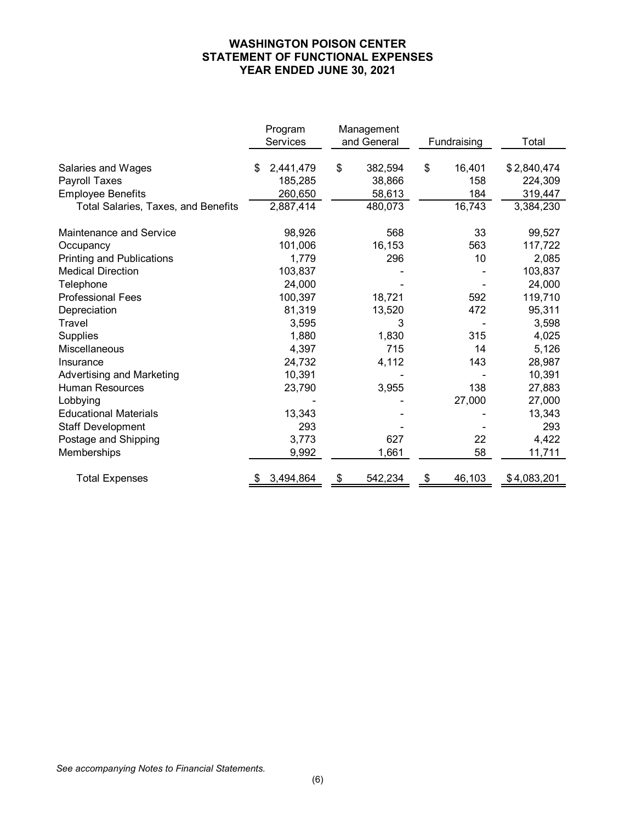# **WASHINGTON POISON CENTER STATEMENT OF FUNCTIONAL EXPENSES YEAR ENDED JUNE 30, 2021**

|                                     | Program         | Management    |              |             |
|-------------------------------------|-----------------|---------------|--------------|-------------|
|                                     | Services        | and General   | Fundraising  | Total       |
|                                     |                 |               |              |             |
| Salaries and Wages                  | \$<br>2,441,479 | \$<br>382,594 | \$<br>16,401 | \$2,840,474 |
| Payroll Taxes                       | 185,285         | 38,866        | 158          | 224,309     |
| <b>Employee Benefits</b>            | 260,650         | 58,613        | 184          | 319,447     |
| Total Salaries, Taxes, and Benefits | 2,887,414       | 480,073       | 16,743       | 3,384,230   |
| Maintenance and Service             | 98,926          | 568           | 33           | 99,527      |
| Occupancy                           | 101,006         | 16,153        | 563          | 117,722     |
| <b>Printing and Publications</b>    | 1,779           | 296           | 10           | 2,085       |
| <b>Medical Direction</b>            | 103,837         |               |              | 103,837     |
| Telephone                           | 24,000          |               |              | 24,000      |
| <b>Professional Fees</b>            | 100,397         | 18,721        | 592          | 119,710     |
| Depreciation                        | 81,319          | 13,520        | 472          | 95,311      |
| Travel                              | 3,595           | 3             |              | 3,598       |
| <b>Supplies</b>                     | 1,880           | 1,830         | 315          | 4,025       |
| Miscellaneous                       | 4,397           | 715           | 14           | 5,126       |
| Insurance                           | 24,732          | 4,112         | 143          | 28,987      |
| <b>Advertising and Marketing</b>    | 10,391          |               |              | 10,391      |
| <b>Human Resources</b>              | 23,790          | 3,955         | 138          | 27,883      |
| Lobbying                            |                 |               | 27,000       | 27,000      |
| <b>Educational Materials</b>        | 13,343          |               |              | 13,343      |
| <b>Staff Development</b>            | 293             |               |              | 293         |
| Postage and Shipping                | 3,773           | 627           | 22           | 4,422       |
| Memberships                         | 9,992           | 1,661         | 58           | 11,711      |
| <b>Total Expenses</b>               | 3,494,864       | 542,234       | 46,103<br>\$ | \$4,083,201 |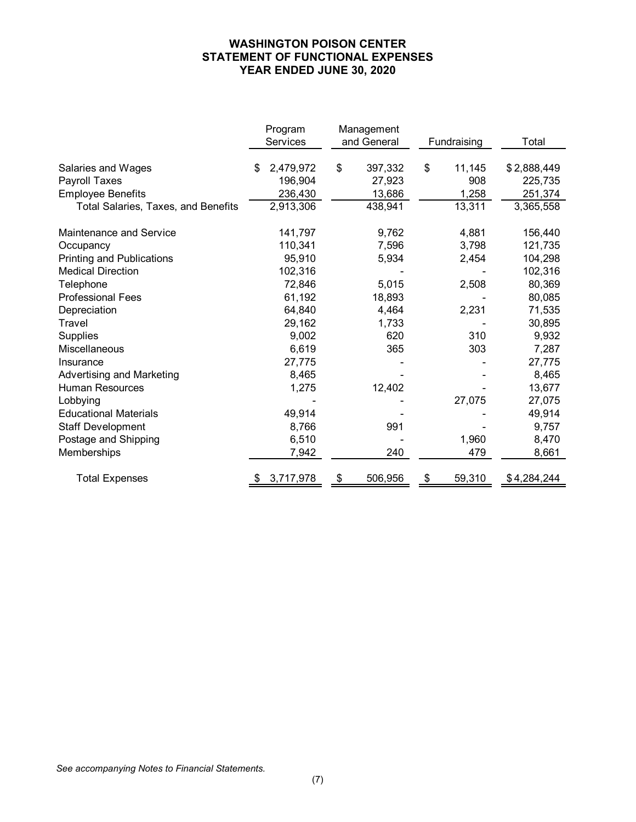# **WASHINGTON POISON CENTER STATEMENT OF FUNCTIONAL EXPENSES YEAR ENDED JUNE 30, 2020**

|                                     | Program              | Management        |              |                      |
|-------------------------------------|----------------------|-------------------|--------------|----------------------|
|                                     | Services             | and General       | Fundraising  | Total                |
| Salaries and Wages                  | \$<br>2,479,972      | \$<br>397,332     | \$<br>11,145 | \$2,888,449          |
| Payroll Taxes                       | 196,904              | 27,923            | 908          | 225,735              |
| <b>Employee Benefits</b>            |                      |                   | 1,258        |                      |
| Total Salaries, Taxes, and Benefits | 236,430<br>2,913,306 | 13,686<br>438,941 | 13,311       | 251,374<br>3,365,558 |
|                                     |                      |                   |              |                      |
| Maintenance and Service             | 141,797              | 9,762             | 4,881        | 156,440              |
| Occupancy                           | 110,341              | 7,596             | 3,798        | 121,735              |
| <b>Printing and Publications</b>    | 95,910               | 5,934             | 2,454        | 104,298              |
| <b>Medical Direction</b>            | 102,316              |                   |              | 102,316              |
| Telephone                           | 72,846               | 5,015             | 2,508        | 80,369               |
| <b>Professional Fees</b>            | 61,192               | 18,893            |              | 80,085               |
| Depreciation                        | 64,840               | 4,464             | 2,231        | 71,535               |
| Travel                              | 29,162               | 1,733             |              | 30,895               |
| Supplies                            | 9,002                | 620               | 310          | 9,932                |
| Miscellaneous                       | 6,619                | 365               | 303          | 7,287                |
| Insurance                           | 27,775               |                   |              | 27,775               |
| <b>Advertising and Marketing</b>    | 8,465                |                   |              | 8,465                |
| <b>Human Resources</b>              | 1,275                | 12,402            |              | 13,677               |
| Lobbying                            |                      |                   | 27,075       | 27,075               |
| <b>Educational Materials</b>        | 49,914               |                   |              | 49,914               |
| <b>Staff Development</b>            | 8,766                | 991               |              | 9,757                |
| Postage and Shipping                | 6,510                |                   | 1,960        | 8,470                |
| Memberships                         | 7,942                | 240               | 479          | 8,661                |
| <b>Total Expenses</b>               | 3,717,978<br>\$      | 506,956           | 59,310<br>\$ | \$4,284,244          |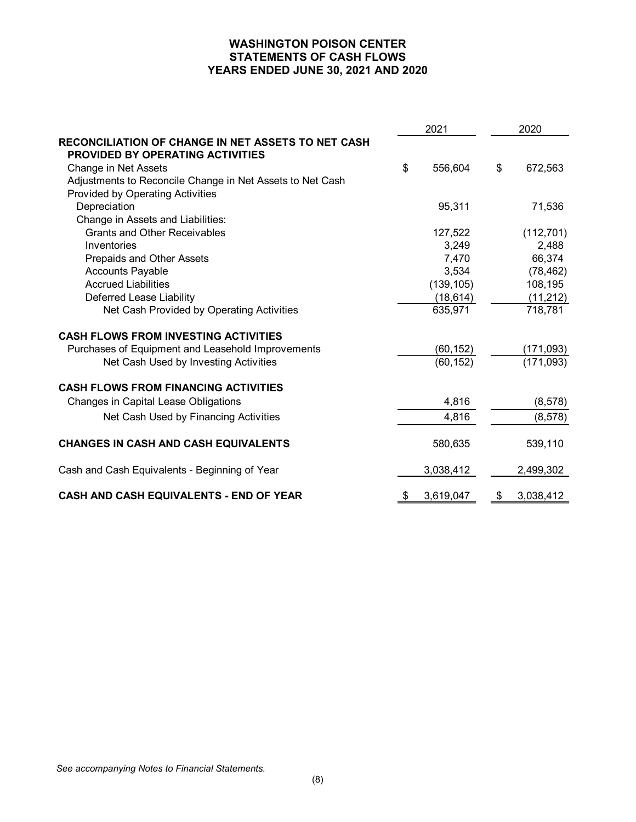# **WASHINGTON POISON CENTER STATEMENTS OF CASH FLOWS YEARS ENDED JUNE 30, 2021 AND 2020**

| 2021                                                      |    |            | 2020 |            |
|-----------------------------------------------------------|----|------------|------|------------|
| <b>RECONCILIATION OF CHANGE IN NET ASSETS TO NET CASH</b> |    |            |      |            |
| <b>PROVIDED BY OPERATING ACTIVITIES</b>                   |    |            |      |            |
| Change in Net Assets                                      | \$ | 556,604    | \$   | 672,563    |
| Adjustments to Reconcile Change in Net Assets to Net Cash |    |            |      |            |
| <b>Provided by Operating Activities</b>                   |    |            |      |            |
| Depreciation                                              |    | 95,311     |      | 71,536     |
| Change in Assets and Liabilities:                         |    |            |      |            |
| <b>Grants and Other Receivables</b>                       |    | 127,522    |      | (112, 701) |
| Inventories                                               |    | 3,249      |      | 2,488      |
| Prepaids and Other Assets                                 |    | 7,470      |      | 66,374     |
| <b>Accounts Payable</b>                                   |    | 3,534      |      | (78, 462)  |
| <b>Accrued Liabilities</b>                                |    | (139, 105) |      | 108,195    |
| Deferred Lease Liability                                  |    | (18, 614)  |      | (11, 212)  |
| Net Cash Provided by Operating Activities                 |    | 635,971    |      | 718,781    |
| <b>CASH FLOWS FROM INVESTING ACTIVITIES</b>               |    |            |      |            |
| Purchases of Equipment and Leasehold Improvements         |    | (60, 152)  |      | (171,093)  |
| Net Cash Used by Investing Activities                     |    | (60, 152)  |      | (171, 093) |
| <b>CASH FLOWS FROM FINANCING ACTIVITIES</b>               |    |            |      |            |
| <b>Changes in Capital Lease Obligations</b>               |    | 4,816      |      | (8, 578)   |
| Net Cash Used by Financing Activities                     |    | 4,816      |      | (8, 578)   |
| <b>CHANGES IN CASH AND CASH EQUIVALENTS</b>               |    | 580,635    |      | 539,110    |
| Cash and Cash Equivalents - Beginning of Year             |    | 3,038,412  |      | 2,499,302  |
| CASH AND CASH EQUIVALENTS - END OF YEAR                   | \$ | 3,619,047  | \$   | 3,038,412  |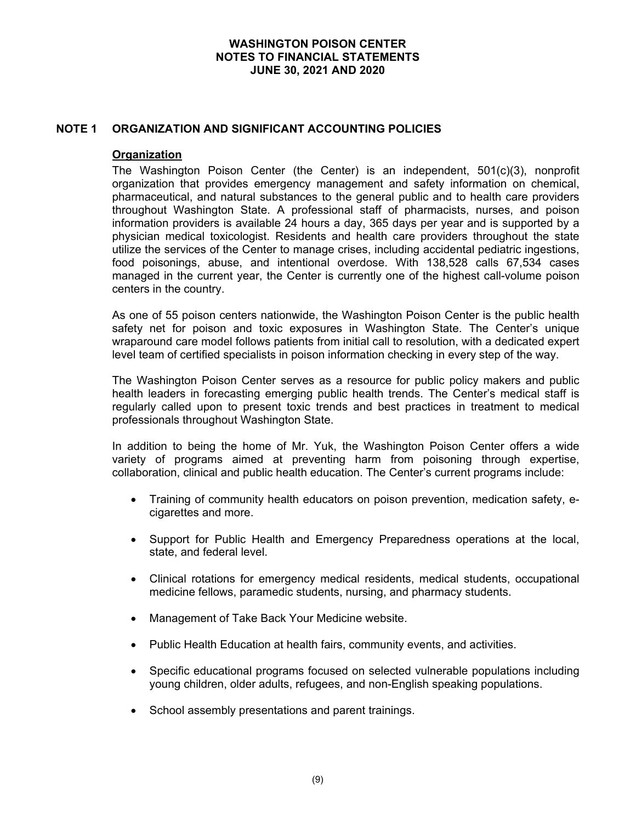## **NOTE 1 ORGANIZATION AND SIGNIFICANT ACCOUNTING POLICIES**

#### **Organization**

The Washington Poison Center (the Center) is an independent, 501(c)(3), nonprofit organization that provides emergency management and safety information on chemical, pharmaceutical, and natural substances to the general public and to health care providers throughout Washington State. A professional staff of pharmacists, nurses, and poison information providers is available 24 hours a day, 365 days per year and is supported by a physician medical toxicologist. Residents and health care providers throughout the state utilize the services of the Center to manage crises, including accidental pediatric ingestions, food poisonings, abuse, and intentional overdose. With 138,528 calls 67,534 cases managed in the current year, the Center is currently one of the highest call-volume poison centers in the country.

As one of 55 poison centers nationwide, the Washington Poison Center is the public health safety net for poison and toxic exposures in Washington State. The Center's unique wraparound care model follows patients from initial call to resolution, with a dedicated expert level team of certified specialists in poison information checking in every step of the way.

The Washington Poison Center serves as a resource for public policy makers and public health leaders in forecasting emerging public health trends. The Center's medical staff is regularly called upon to present toxic trends and best practices in treatment to medical professionals throughout Washington State.

In addition to being the home of Mr. Yuk, the Washington Poison Center offers a wide variety of programs aimed at preventing harm from poisoning through expertise, collaboration, clinical and public health education. The Center's current programs include:

- Training of community health educators on poison prevention, medication safety, ecigarettes and more.
- Support for Public Health and Emergency Preparedness operations at the local, state, and federal level.
- Clinical rotations for emergency medical residents, medical students, occupational medicine fellows, paramedic students, nursing, and pharmacy students.
- Management of Take Back Your Medicine website.
- Public Health Education at health fairs, community events, and activities.
- Specific educational programs focused on selected vulnerable populations including young children, older adults, refugees, and non-English speaking populations.
- School assembly presentations and parent trainings.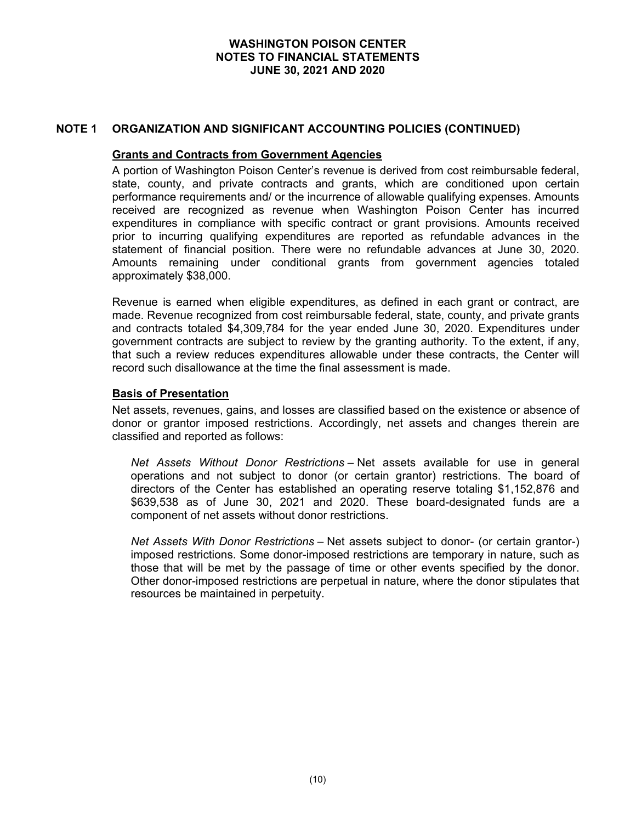# **NOTE 1 ORGANIZATION AND SIGNIFICANT ACCOUNTING POLICIES (CONTINUED)**

#### **Grants and Contracts from Government Agencies**

A portion of Washington Poison Center's revenue is derived from cost reimbursable federal, state, county, and private contracts and grants, which are conditioned upon certain performance requirements and/ or the incurrence of allowable qualifying expenses. Amounts received are recognized as revenue when Washington Poison Center has incurred expenditures in compliance with specific contract or grant provisions. Amounts received prior to incurring qualifying expenditures are reported as refundable advances in the statement of financial position. There were no refundable advances at June 30, 2020. Amounts remaining under conditional grants from government agencies totaled approximately \$38,000.

Revenue is earned when eligible expenditures, as defined in each grant or contract, are made. Revenue recognized from cost reimbursable federal, state, county, and private grants and contracts totaled \$4,309,784 for the year ended June 30, 2020. Expenditures under government contracts are subject to review by the granting authority. To the extent, if any, that such a review reduces expenditures allowable under these contracts, the Center will record such disallowance at the time the final assessment is made.

#### **Basis of Presentation**

Net assets, revenues, gains, and losses are classified based on the existence or absence of donor or grantor imposed restrictions. Accordingly, net assets and changes therein are classified and reported as follows:

*Net Assets Without Donor Restrictions* – Net assets available for use in general operations and not subject to donor (or certain grantor) restrictions. The board of directors of the Center has established an operating reserve totaling \$1,152,876 and \$639,538 as of June 30, 2021 and 2020. These board-designated funds are a component of net assets without donor restrictions.

*Net Assets With Donor Restrictions* – Net assets subject to donor- (or certain grantor-) imposed restrictions. Some donor-imposed restrictions are temporary in nature, such as those that will be met by the passage of time or other events specified by the donor. Other donor-imposed restrictions are perpetual in nature, where the donor stipulates that resources be maintained in perpetuity.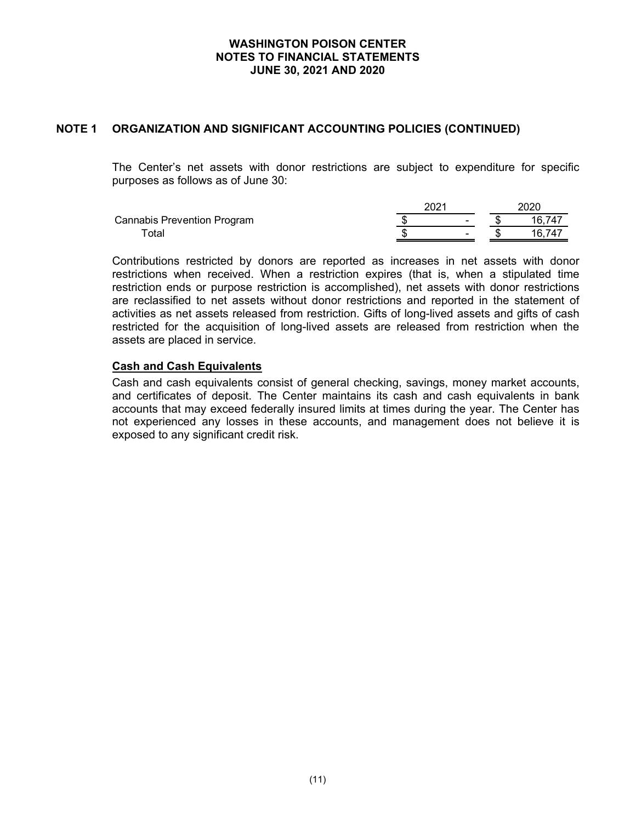# **NOTE 1 ORGANIZATION AND SIGNIFICANT ACCOUNTING POLICIES (CONTINUED)**

The Center's net assets with donor restrictions are subject to expenditure for specific purposes as follows as of June 30:

|                                    | 202 <sup>-</sup> |                          | 2020   |
|------------------------------------|------------------|--------------------------|--------|
| <b>Cannabis Prevention Program</b> |                  | $\overline{\phantom{0}}$ | 16,747 |
| ⊺otal                              |                  | $\overline{\phantom{0}}$ |        |

Contributions restricted by donors are reported as increases in net assets with donor restrictions when received. When a restriction expires (that is, when a stipulated time restriction ends or purpose restriction is accomplished), net assets with donor restrictions are reclassified to net assets without donor restrictions and reported in the statement of activities as net assets released from restriction. Gifts of long-lived assets and gifts of cash restricted for the acquisition of long-lived assets are released from restriction when the assets are placed in service.

## **Cash and Cash Equivalents**

Cash and cash equivalents consist of general checking, savings, money market accounts, and certificates of deposit. The Center maintains its cash and cash equivalents in bank accounts that may exceed federally insured limits at times during the year. The Center has not experienced any losses in these accounts, and management does not believe it is exposed to any significant credit risk.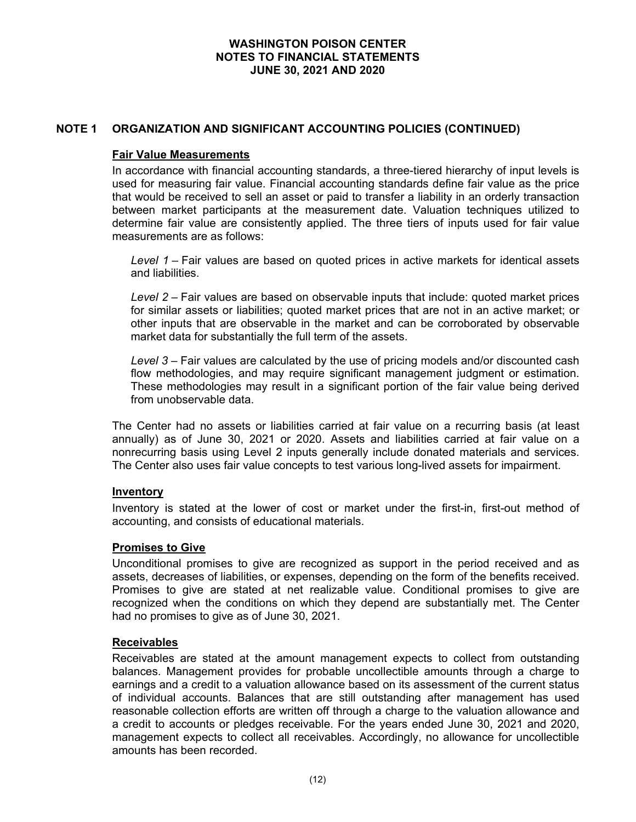# **NOTE 1 ORGANIZATION AND SIGNIFICANT ACCOUNTING POLICIES (CONTINUED)**

#### **Fair Value Measurements**

In accordance with financial accounting standards, a three-tiered hierarchy of input levels is used for measuring fair value. Financial accounting standards define fair value as the price that would be received to sell an asset or paid to transfer a liability in an orderly transaction between market participants at the measurement date. Valuation techniques utilized to determine fair value are consistently applied. The three tiers of inputs used for fair value measurements are as follows:

*Level 1 –* Fair values are based on quoted prices in active markets for identical assets and liabilities.

*Level 2 –* Fair values are based on observable inputs that include: quoted market prices for similar assets or liabilities; quoted market prices that are not in an active market; or other inputs that are observable in the market and can be corroborated by observable market data for substantially the full term of the assets.

Level 3 – Fair values are calculated by the use of pricing models and/or discounted cash flow methodologies, and may require significant management judgment or estimation. These methodologies may result in a significant portion of the fair value being derived from unobservable data.

The Center had no assets or liabilities carried at fair value on a recurring basis (at least annually) as of June 30, 2021 or 2020. Assets and liabilities carried at fair value on a nonrecurring basis using Level 2 inputs generally include donated materials and services. The Center also uses fair value concepts to test various long-lived assets for impairment.

#### **Inventory**

Inventory is stated at the lower of cost or market under the first-in, first-out method of accounting, and consists of educational materials.

#### **Promises to Give**

Unconditional promises to give are recognized as support in the period received and as assets, decreases of liabilities, or expenses, depending on the form of the benefits received. Promises to give are stated at net realizable value. Conditional promises to give are recognized when the conditions on which they depend are substantially met. The Center had no promises to give as of June 30, 2021.

#### **Receivables**

Receivables are stated at the amount management expects to collect from outstanding balances. Management provides for probable uncollectible amounts through a charge to earnings and a credit to a valuation allowance based on its assessment of the current status of individual accounts. Balances that are still outstanding after management has used reasonable collection efforts are written off through a charge to the valuation allowance and a credit to accounts or pledges receivable. For the years ended June 30, 2021 and 2020, management expects to collect all receivables. Accordingly, no allowance for uncollectible amounts has been recorded.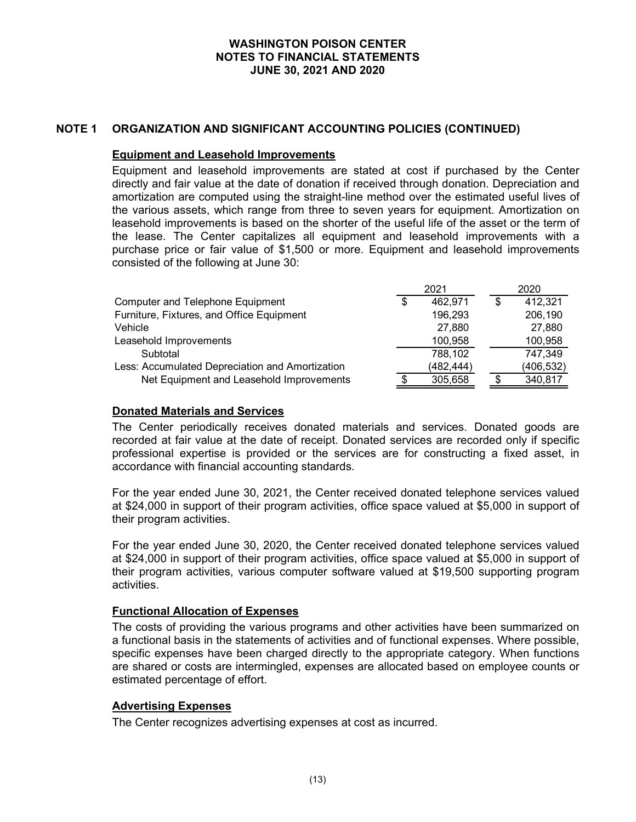# **NOTE 1 ORGANIZATION AND SIGNIFICANT ACCOUNTING POLICIES (CONTINUED)**

#### **Equipment and Leasehold Improvements**

Equipment and leasehold improvements are stated at cost if purchased by the Center directly and fair value at the date of donation if received through donation. Depreciation and amortization are computed using the straight-line method over the estimated useful lives of the various assets, which range from three to seven years for equipment. Amortization on leasehold improvements is based on the shorter of the useful life of the asset or the term of the lease. The Center capitalizes all equipment and leasehold improvements with a purchase price or fair value of \$1,500 or more. Equipment and leasehold improvements consisted of the following at June 30:

|                                                 |    | 2021      | 2020       |
|-------------------------------------------------|----|-----------|------------|
| <b>Computer and Telephone Equipment</b>         | \$ | 462,971   | 412,321    |
| Furniture, Fixtures, and Office Equipment       |    | 196,293   | 206,190    |
| Vehicle                                         |    | 27,880    | 27,880     |
| Leasehold Improvements                          |    | 100,958   | 100,958    |
| Subtotal                                        |    | 788,102   | 747,349    |
| Less: Accumulated Depreciation and Amortization |    | (482,444) | (406, 532) |
| Net Equipment and Leasehold Improvements        |    | 305,658   | 340,817    |

### **Donated Materials and Services**

The Center periodically receives donated materials and services. Donated goods are recorded at fair value at the date of receipt. Donated services are recorded only if specific professional expertise is provided or the services are for constructing a fixed asset, in accordance with financial accounting standards.

For the year ended June 30, 2021, the Center received donated telephone services valued at \$24,000 in support of their program activities, office space valued at \$5,000 in support of their program activities.

For the year ended June 30, 2020, the Center received donated telephone services valued at \$24,000 in support of their program activities, office space valued at \$5,000 in support of their program activities, various computer software valued at \$19,500 supporting program activities.

# **Functional Allocation of Expenses**

The costs of providing the various programs and other activities have been summarized on a functional basis in the statements of activities and of functional expenses. Where possible, specific expenses have been charged directly to the appropriate category. When functions are shared or costs are intermingled, expenses are allocated based on employee counts or estimated percentage of effort.

#### **Advertising Expenses**

The Center recognizes advertising expenses at cost as incurred.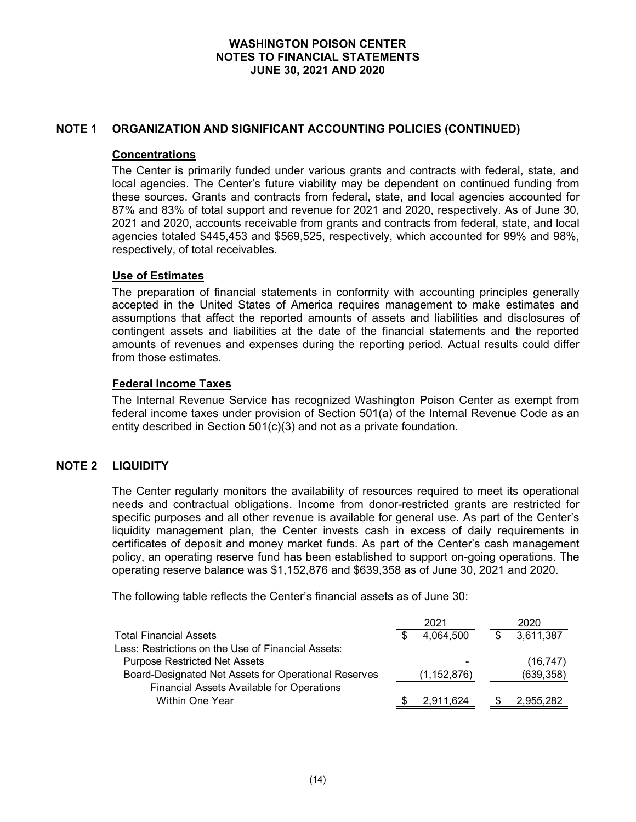# **NOTE 1 ORGANIZATION AND SIGNIFICANT ACCOUNTING POLICIES (CONTINUED)**

#### **Concentrations**

The Center is primarily funded under various grants and contracts with federal, state, and local agencies. The Center's future viability may be dependent on continued funding from these sources. Grants and contracts from federal, state, and local agencies accounted for 87% and 83% of total support and revenue for 2021 and 2020, respectively. As of June 30, 2021 and 2020, accounts receivable from grants and contracts from federal, state, and local agencies totaled \$445,453 and \$569,525, respectively, which accounted for 99% and 98%, respectively, of total receivables.

#### **Use of Estimates**

The preparation of financial statements in conformity with accounting principles generally accepted in the United States of America requires management to make estimates and assumptions that affect the reported amounts of assets and liabilities and disclosures of contingent assets and liabilities at the date of the financial statements and the reported amounts of revenues and expenses during the reporting period. Actual results could differ from those estimates.

## **Federal Income Taxes**

The Internal Revenue Service has recognized Washington Poison Center as exempt from federal income taxes under provision of Section 501(a) of the Internal Revenue Code as an entity described in Section 501(c)(3) and not as a private foundation.

# **NOTE 2 LIQUIDITY**

The Center regularly monitors the availability of resources required to meet its operational needs and contractual obligations. Income from donor-restricted grants are restricted for specific purposes and all other revenue is available for general use. As part of the Center's liquidity management plan, the Center invests cash in excess of daily requirements in certificates of deposit and money market funds. As part of the Center's cash management policy, an operating reserve fund has been established to support on-going operations. The operating reserve balance was \$1,152,876 and \$639,358 as of June 30, 2021 and 2020.

The following table reflects the Center's financial assets as of June 30:

|                                                      | 2021          | 2020       |
|------------------------------------------------------|---------------|------------|
| <b>Total Financial Assets</b>                        | 4.064,500     | 3,611,387  |
| Less: Restrictions on the Use of Financial Assets:   |               |            |
| <b>Purpose Restricted Net Assets</b>                 |               | (16, 747)  |
| Board-Designated Net Assets for Operational Reserves | (1, 152, 876) | (639, 358) |
| <b>Financial Assets Available for Operations</b>     |               |            |
| Within One Year                                      | 2,911,624     | 2,955,282  |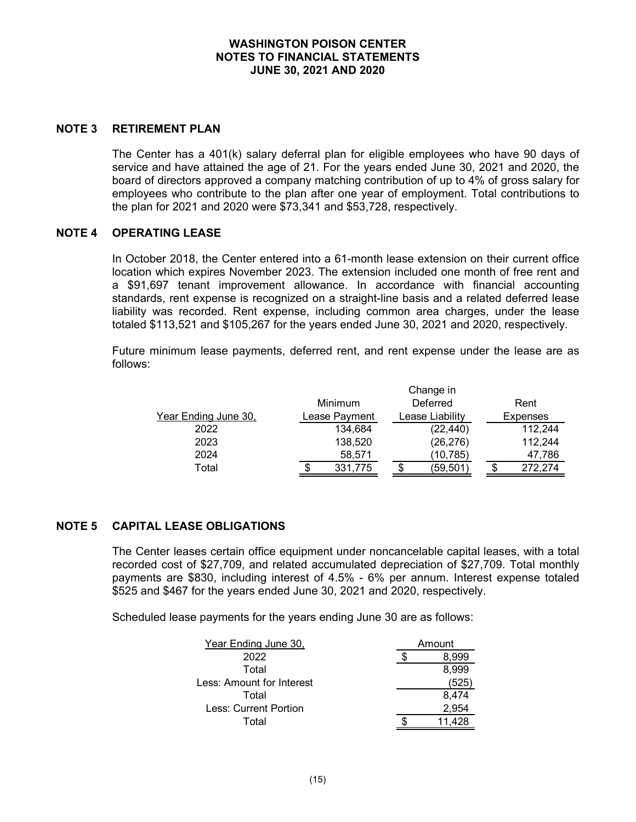#### **NOTE 3 RETIREMENT PLAN**

The Center has a 401(k) salary deferral plan for eligible employees who have 90 days of service and have attained the age of 21. For the years ended June 30, 2021 and 2020, the board of directors approved a company matching contribution of up to 4% of gross salary for employees who contribute to the plan after one year of employment. Total contributions to the plan for 2021 and 2020 were \$73,341 and \$53,728, respectively.

#### **NOTE 4 OPERATING LEASE**

In October 2018, the Center entered into a 61-month lease extension on their current office location which expires November 2023. The extension included one month of free rent and a \$91,697 tenant improvement allowance. In accordance with financial accounting standards, rent expense is recognized on a straight-line basis and a related deferred lease liability was recorded. Rent expense, including common area charges, under the lease totaled \$113,521 and \$105,267 for the years ended June 30, 2021 and 2020, respectively.

Future minimum lease payments, deferred rent, and rent expense under the lease are as follows:

|                      |               | Change in       |    |                 |
|----------------------|---------------|-----------------|----|-----------------|
|                      | Minimum       | Deferred        |    | Rent            |
| Year Ending June 30, | Lease Payment | Lease Liability |    | <b>Expenses</b> |
| 2022                 | 134,684       | (22, 440)       |    | 112,244         |
| 2023                 | 138,520       | (26, 276)       |    | 112,244         |
| 2024                 | 58,571        | (10, 785)       |    | 47,786          |
| Total                | 331,775       | (59,501)        | S. | 272,274         |

# **NOTE 5 CAPITAL LEASE OBLIGATIONS**

The Center leases certain office equipment under noncancelable capital leases, with a total recorded cost of \$27,709, and related accumulated depreciation of \$27,709. Total monthly payments are \$830, including interest of 4.5% - 6% per annum. Interest expense totaled \$525 and \$467 for the years ended June 30, 2021 and 2020, respectively.

Scheduled lease payments for the years ending June 30 are as follows:

| Year Ending June 30,      | Amount |       |  |  |  |
|---------------------------|--------|-------|--|--|--|
| 2022                      | 8.999  |       |  |  |  |
| Total                     | 8,999  |       |  |  |  |
| Less: Amount for Interest |        | 525   |  |  |  |
| Total                     |        | 8,474 |  |  |  |
| Less: Current Portion     |        | 2,954 |  |  |  |
| Total                     |        |       |  |  |  |